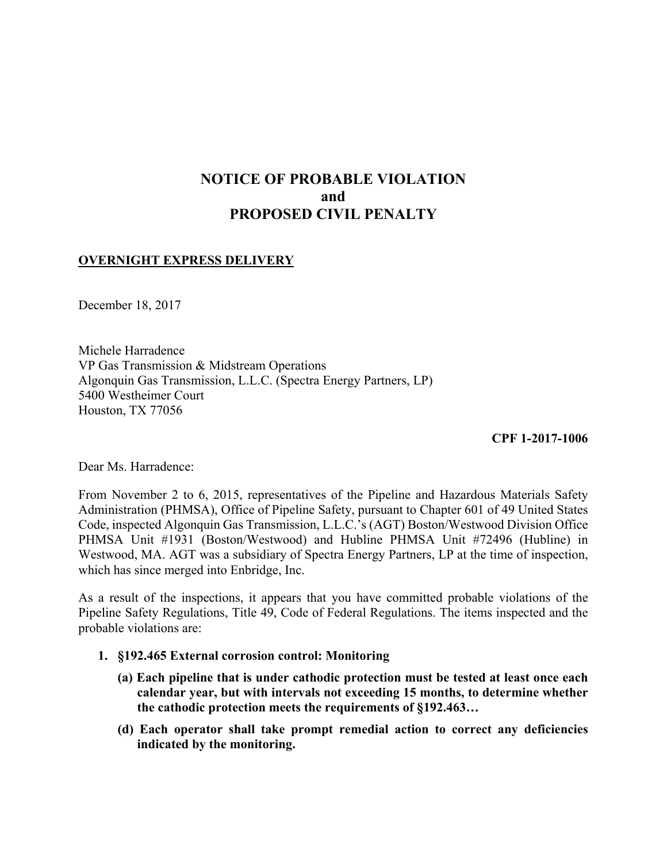## **NOTICE OF PROBABLE VIOLATION and PROPOSED CIVIL PENALTY**

## **OVERNIGHT EXPRESS DELIVERY**

December 18, 2017

Michele Harradence VP Gas Transmission & Midstream Operations Algonquin Gas Transmission, L.L.C. (Spectra Energy Partners, LP) 5400 Westheimer Court Houston, TX 77056

**CPF 1-2017-1006** 

Dear Ms. Harradence:

 Westwood, MA. AGT was a subsidiary of Spectra Energy Partners, LP at the time of inspection, From November 2 to 6, 2015, representatives of the Pipeline and Hazardous Materials Safety Administration (PHMSA), Office of Pipeline Safety, pursuant to Chapter 601 of 49 United States Code, inspected Algonquin Gas Transmission, L.L.C.'s (AGT) Boston/Westwood Division Office PHMSA Unit #1931 (Boston/Westwood) and Hubline PHMSA Unit #72496 (Hubline) in which has since merged into Enbridge, Inc.

 As a result of the inspections, it appears that you have committed probable violations of the Pipeline Safety Regulations, Title 49, Code of Federal Regulations. The items inspected and the probable violations are:

- **1. §192.465 External corrosion control: Monitoring** 
	- **(a) Each pipeline that is under cathodic protection must be tested at least once each calendar year, but with intervals not exceeding 15 months, to determine whether the cathodic protection meets the requirements of §192.463…**
	- **(d) Each operator shall take prompt remedial action to correct any deficiencies indicated by the monitoring.**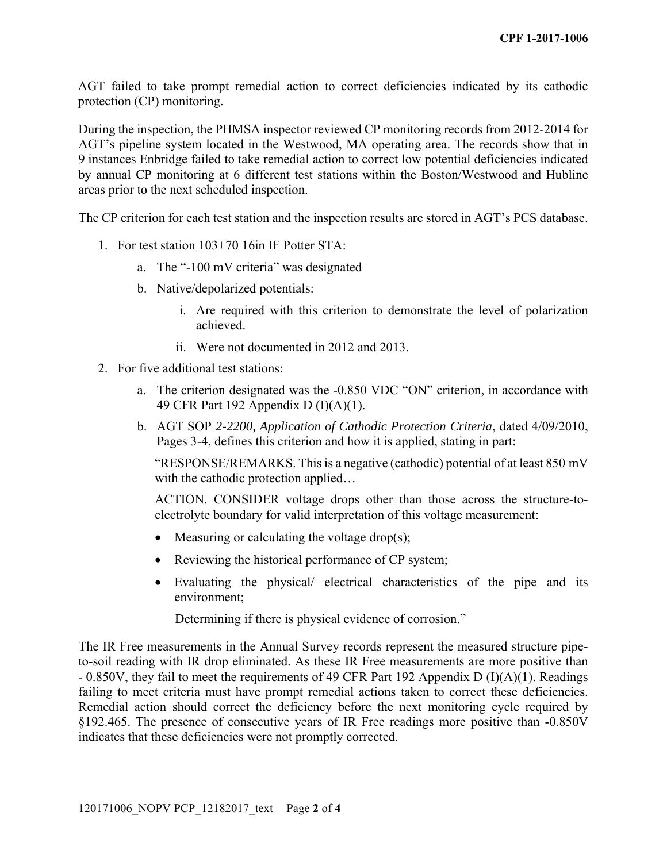AGT failed to take prompt remedial action to correct deficiencies indicated by its cathodic protection (CP) monitoring.

 AGT's pipeline system located in the Westwood, MA operating area. The records show that in During the inspection, the PHMSA inspector reviewed CP monitoring records from 2012-2014 for 9 instances Enbridge failed to take remedial action to correct low potential deficiencies indicated by annual CP monitoring at 6 different test stations within the Boston/Westwood and Hubline areas prior to the next scheduled inspection.

The CP criterion for each test station and the inspection results are stored in AGT's PCS database.

- 1. For test station 103+70 16in IF Potter STA:
	- a. The "-100 mV criteria" was designated
	- b. Native/depolarized potentials:
		- i. Are required with this criterion to demonstrate the level of polarization achieved.
		- ii. Were not documented in 2012 and 2013.
- 2. For five additional test stations:
	- a. The criterion designated was the -0.850 VDC "ON" criterion, in accordance with 49 CFR Part 192 Appendix D (I)(A)(1).
	- b. AGT SOP *2-2200, Application of Cathodic Protection Criteria*, dated 4/09/2010, Pages 3-4, defines this criterion and how it is applied, stating in part:

"RESPONSE/REMARKS. This is a negative (cathodic) potential of at least 850 mV with the cathodic protection applied...

ACTION. CONSIDER voltage drops other than those across the structure-toelectrolyte boundary for valid interpretation of this voltage measurement:

- $\bullet$  Measuring or calculating the voltage drop(s);
- Reviewing the historical performance of CP system;
- Evaluating the physical/ electrical characteristics of the pipe and its environment;

Determining if there is physical evidence of corrosion."

The IR Free measurements in the Annual Survey records represent the measured structure pipeto-soil reading with IR drop eliminated. As these IR Free measurements are more positive than - 0.850V, they fail to meet the requirements of 49 CFR Part 192 Appendix D (I)(A)(1). Readings failing to meet criteria must have prompt remedial actions taken to correct these deficiencies. Remedial action should correct the deficiency before the next monitoring cycle required by §192.465. The presence of consecutive years of IR Free readings more positive than -0.850V indicates that these deficiencies were not promptly corrected.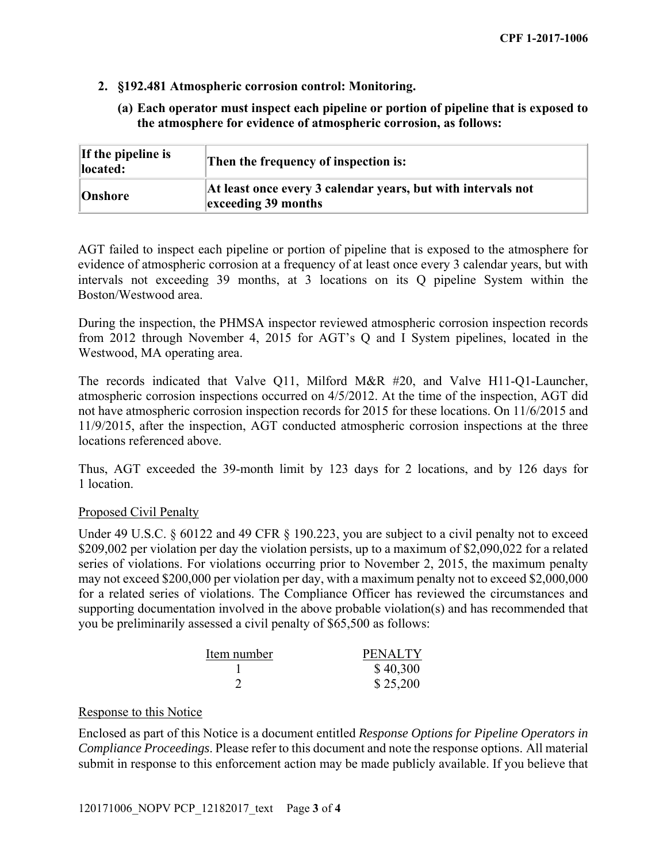- **2. §192.481 Atmospheric corrosion control: Monitoring.** 
	- **(a) Each operator must inspect each pipeline or portion of pipeline that is exposed to the atmosphere for evidence of atmospheric corrosion, as follows:**

| If the pipeline is<br>located: | Then the frequency of inspection is:                                                |
|--------------------------------|-------------------------------------------------------------------------------------|
| Onshore                        | At least once every 3 calendar years, but with intervals not<br>exceeding 39 months |

AGT failed to inspect each pipeline or portion of pipeline that is exposed to the atmosphere for evidence of atmospheric corrosion at a frequency of at least once every 3 calendar years, but with intervals not exceeding 39 months, at 3 locations on its Q pipeline System within the Boston/Westwood area.

During the inspection, the PHMSA inspector reviewed atmospheric corrosion inspection records from 2012 through November 4, 2015 for AGT's Q and I System pipelines, located in the Westwood, MA operating area.

The records indicated that Valve Q11, Milford M&R #20, and Valve H11-Q1-Launcher, atmospheric corrosion inspections occurred on 4/5/2012. At the time of the inspection, AGT did not have atmospheric corrosion inspection records for 2015 for these locations. On 11/6/2015 and 11/9/2015, after the inspection, AGT conducted atmospheric corrosion inspections at the three locations referenced above.

Thus, AGT exceeded the 39-month limit by 123 days for 2 locations, and by 126 days for 1 location.

## Proposed Civil Penalty

 may not exceed \$200,000 per violation per day, with a maximum penalty not to exceed \$2,000,000 Under 49 U.S.C. § 60122 and 49 CFR § 190.223, you are subject to a civil penalty not to exceed \$209,002 per violation per day the violation persists, up to a maximum of \$2,090,022 for a related series of violations. For violations occurring prior to November 2, 2015, the maximum penalty for a related series of violations. The Compliance Officer has reviewed the circumstances and supporting documentation involved in the above probable violation(s) and has recommended that you be preliminarily assessed a civil penalty of \$65,500 as follows:

| Item number | <b>PENALTY</b> |
|-------------|----------------|
|             | \$40,300       |
|             | \$25,200       |

## Response to this Notice

Enclosed as part of this Notice is a document entitled *Response Options for Pipeline Operators in Compliance Proceedings*. Please refer to this document and note the response options. All material submit in response to this enforcement action may be made publicly available. If you believe that